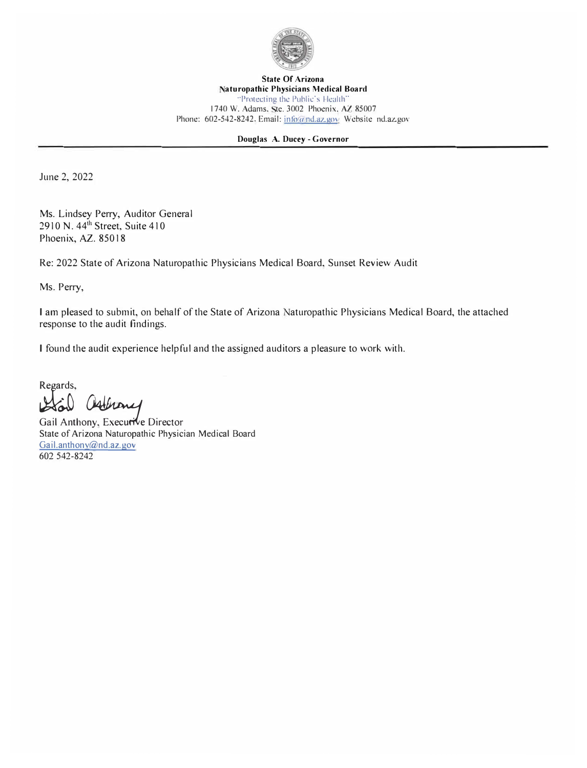

**State Of Arizona aturopathic Physicians Medical Board**  "Protecting the Public's Health" 1740 W. Adams, Ste. 3002 Phoenix. AZ 85007 Phone: 602-542-8242. Email: info@nd.az.gov Website nd.az.gov

## **Douglas A. Ducey - Governor**

June 2, 2022

Ms. Lindsey Perry, Auditor General 2910 N. 44<sup>th</sup> Street, Suite 410 Phoenix, AZ. 85018

Re: 2022 State of Arizona Naturopathic Physicians Medical Board, Sunset Review Audit

Ms. Perry,

I am pleased to submit, on behalf of the State of Arizona Naturopathic Physicians Medical Board, the attached response to the audit findings.

I found the audit experience helpful and the assigned auditors a pleasure to work with.

Regards,

Gail Clathony<br>Gail Anthony, Executive Director

State of Arizona Naturopathic Physician Medical Board Gail.anthony@nd.az.gov 602 542-8242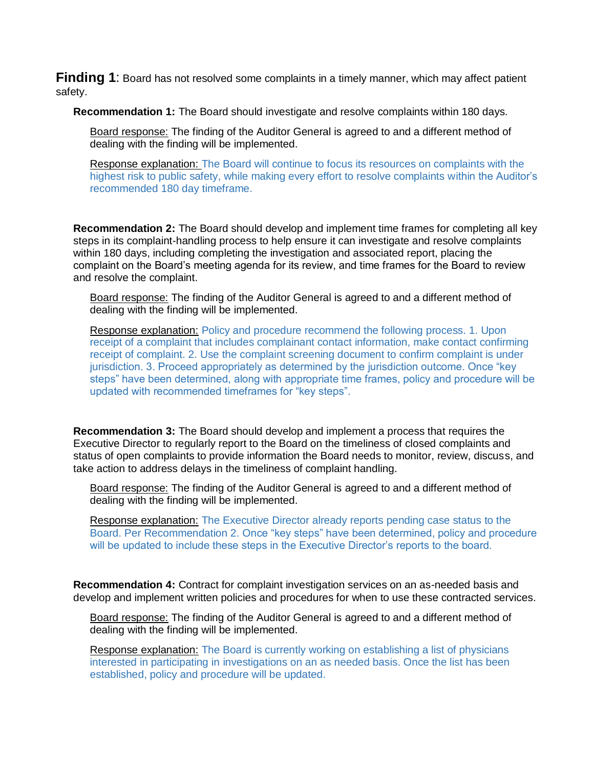**Finding 1**: Board has not resolved some complaints in a timely manner, which may affect patient safety.

**Recommendation 1:** The Board should investigate and resolve complaints within 180 days.

Board response: The finding of the Auditor General is agreed to and a different method of dealing with the finding will be implemented.

Response explanation: The Board will continue to focus its resources on complaints with the highest risk to public safety, while making every effort to resolve complaints within the Auditor's recommended 180 day timeframe.

**Recommendation 2:** The Board should develop and implement time frames for completing all key steps in its complaint-handling process to help ensure it can investigate and resolve complaints within 180 days, including completing the investigation and associated report, placing the complaint on the Board's meeting agenda for its review, and time frames for the Board to review and resolve the complaint.

Board response: The finding of the Auditor General is agreed to and a different method of dealing with the finding will be implemented.

Response explanation: Policy and procedure recommend the following process. 1. Upon receipt of a complaint that includes complainant contact information, make contact confirming receipt of complaint. 2. Use the complaint screening document to confirm complaint is under jurisdiction. 3. Proceed appropriately as determined by the jurisdiction outcome. Once "key steps" have been determined, along with appropriate time frames, policy and procedure will be updated with recommended timeframes for "key steps".

**Recommendation 3:** The Board should develop and implement a process that requires the Executive Director to regularly report to the Board on the timeliness of closed complaints and status of open complaints to provide information the Board needs to monitor, review, discuss, and take action to address delays in the timeliness of complaint handling.

Board response: The finding of the Auditor General is agreed to and a different method of dealing with the finding will be implemented.

Response explanation: The Executive Director already reports pending case status to the Board. Per Recommendation 2. Once "key steps" have been determined, policy and procedure will be updated to include these steps in the Executive Director's reports to the board.

**Recommendation 4:** Contract for complaint investigation services on an as-needed basis and develop and implement written policies and procedures for when to use these contracted services.

Board response: The finding of the Auditor General is agreed to and a different method of dealing with the finding will be implemented.

Response explanation: The Board is currently working on establishing a list of physicians interested in participating in investigations on an as needed basis. Once the list has been established, policy and procedure will be updated.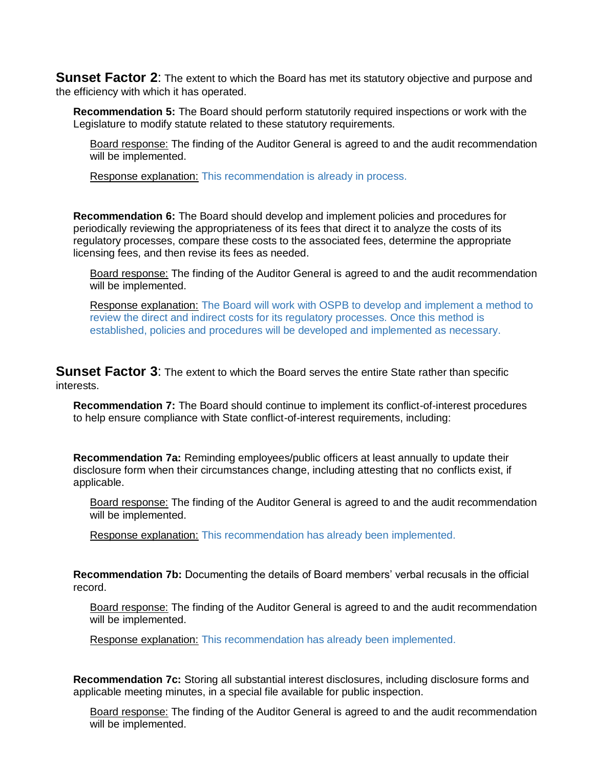**Sunset Factor 2:** The extent to which the Board has met its statutory objective and purpose and the efficiency with which it has operated.

**Recommendation 5:** The Board should perform statutorily required inspections or work with the Legislature to modify statute related to these statutory requirements.

Board response: The finding of the Auditor General is agreed to and the audit recommendation will be implemented.

Response explanation: This recommendation is already in process.

**Recommendation 6:** The Board should develop and implement policies and procedures for periodically reviewing the appropriateness of its fees that direct it to analyze the costs of its regulatory processes, compare these costs to the associated fees, determine the appropriate licensing fees, and then revise its fees as needed.

Board response: The finding of the Auditor General is agreed to and the audit recommendation will be implemented.

Response explanation: The Board will work with OSPB to develop and implement a method to review the direct and indirect costs for its regulatory processes. Once this method is established, policies and procedures will be developed and implemented as necessary.

**Sunset Factor 3:** The extent to which the Board serves the entire State rather than specific interests.

**Recommendation 7:** The Board should continue to implement its conflict-of-interest procedures to help ensure compliance with State conflict-of-interest requirements, including:

**Recommendation 7a:** Reminding employees/public officers at least annually to update their disclosure form when their circumstances change, including attesting that no conflicts exist, if applicable.

Board response: The finding of the Auditor General is agreed to and the audit recommendation will be implemented.

Response explanation: This recommendation has already been implemented.

**Recommendation 7b:** Documenting the details of Board members' verbal recusals in the official record.

Board response: The finding of the Auditor General is agreed to and the audit recommendation will be implemented.

Response explanation: This recommendation has already been implemented.

**Recommendation 7c:** Storing all substantial interest disclosures, including disclosure forms and applicable meeting minutes, in a special file available for public inspection.

Board response: The finding of the Auditor General is agreed to and the audit recommendation will be implemented.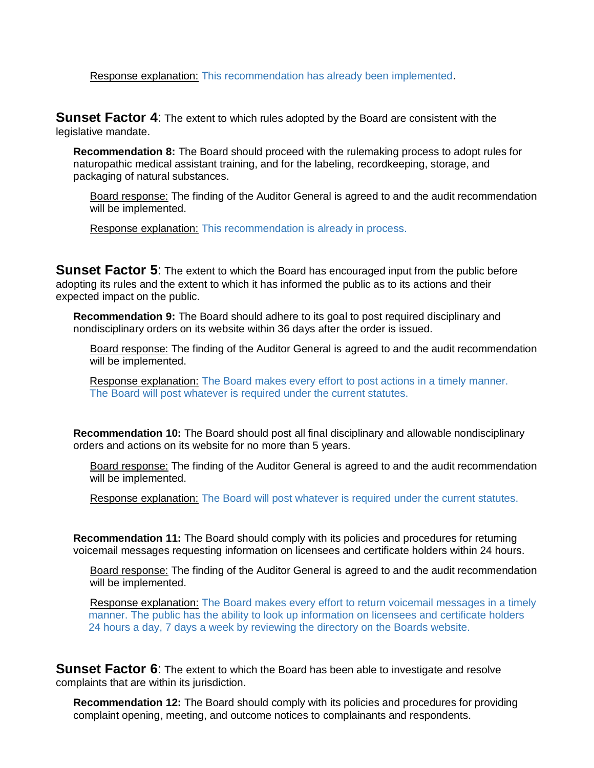Response explanation: This recommendation has already been implemented.

**Sunset Factor 4**: The extent to which rules adopted by the Board are consistent with the legislative mandate.

**Recommendation 8:** The Board should proceed with the rulemaking process to adopt rules for naturopathic medical assistant training, and for the labeling, recordkeeping, storage, and packaging of natural substances.

Board response: The finding of the Auditor General is agreed to and the audit recommendation will be implemented.

Response explanation: This recommendation is already in process.

**Sunset Factor 5:** The extent to which the Board has encouraged input from the public before adopting its rules and the extent to which it has informed the public as to its actions and their expected impact on the public.

**Recommendation 9:** The Board should adhere to its goal to post required disciplinary and nondisciplinary orders on its website within 36 days after the order is issued.

Board response: The finding of the Auditor General is agreed to and the audit recommendation will be implemented.

Response explanation: The Board makes every effort to post actions in a timely manner. The Board will post whatever is required under the current statutes.

**Recommendation 10:** The Board should post all final disciplinary and allowable nondisciplinary orders and actions on its website for no more than 5 years.

Board response: The finding of the Auditor General is agreed to and the audit recommendation will be implemented.

Response explanation: The Board will post whatever is required under the current statutes.

**Recommendation 11:** The Board should comply with its policies and procedures for returning voicemail messages requesting information on licensees and certificate holders within 24 hours.

Board response: The finding of the Auditor General is agreed to and the audit recommendation will be implemented.

Response explanation: The Board makes every effort to return voicemail messages in a timely manner. The public has the ability to look up information on licensees and certificate holders 24 hours a day, 7 days a week by reviewing the directory on the Boards website.

**Sunset Factor 6**: The extent to which the Board has been able to investigate and resolve complaints that are within its jurisdiction.

**Recommendation 12:** The Board should comply with its policies and procedures for providing complaint opening, meeting, and outcome notices to complainants and respondents.